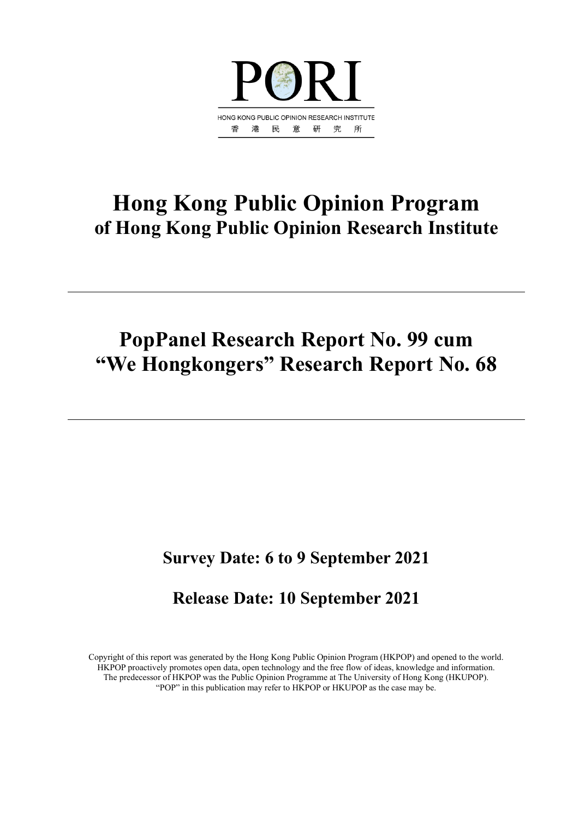

# **Hong Kong Public Opinion Program of Hong Kong Public Opinion Research Institute**

# **PopPanel Research Report No. 99 cum "We Hongkongers" Research Report No. 68**

# **Survey Date: 6 to 9 September 2021**

# **Release Date: 10 September 2021**

Copyright of this report was generated by the Hong Kong Public Opinion Program (HKPOP) and opened to the world. HKPOP proactively promotes open data, open technology and the free flow of ideas, knowledge and information. The predecessor of HKPOP was the Public Opinion Programme at The University of Hong Kong (HKUPOP). "POP" in this publication may refer to HKPOP or HKUPOP as the case may be.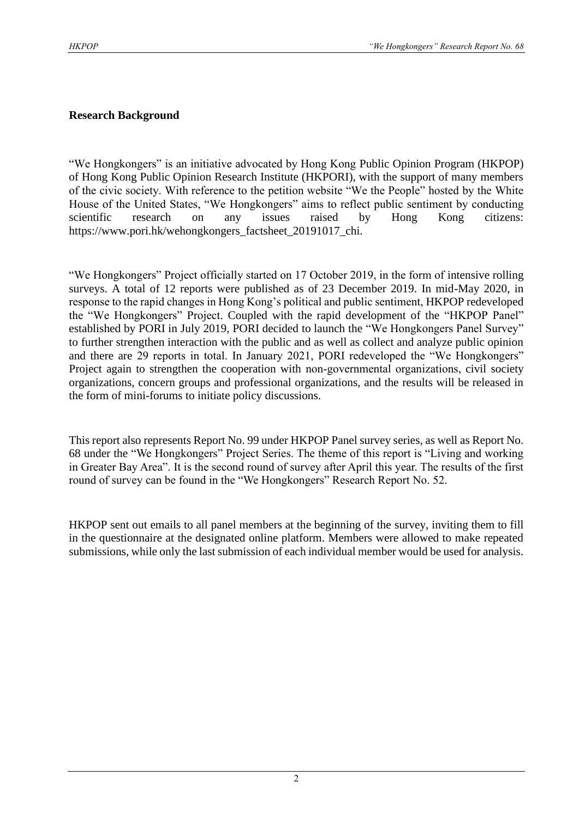## **Research Background**

"We Hongkongers" is an initiative advocated by Hong Kong Public Opinion Program (HKPOP) of Hong Kong Public Opinion Research Institute (HKPORI), with the support of many members of the civic society. With reference to the petition website "We the People" hosted by the White House of the United States, "We Hongkongers" aims to reflect public sentiment by conducting scientific research on any issues raised by Hong Kong citizens: https://www.pori.hk/wehongkongers\_factsheet\_20191017\_chi.

"We Hongkongers" Project officially started on 17 October 2019, in the form of intensive rolling surveys. A total of 12 reports were published as of 23 December 2019. In mid-May 2020, in response to the rapid changes in Hong Kong's political and public sentiment, HKPOP redeveloped the "We Hongkongers" Project. Coupled with the rapid development of the "HKPOP Panel" established by PORI in July 2019, PORI decided to launch the "We Hongkongers Panel Survey" to further strengthen interaction with the public and as well as collect and analyze public opinion and there are 29 reports in total. In January 2021, PORI redeveloped the "We Hongkongers" Project again to strengthen the cooperation with non-governmental organizations, civil society organizations, concern groups and professional organizations, and the results will be released in the form of mini-forums to initiate policy discussions.

This report also represents Report No. 99 under HKPOP Panel survey series, as well as Report No. 68 under the "We Hongkongers" Project Series. The theme of this report is "Living and working in Greater Bay Area". It is the second round of survey after April this year. The results of the first round of survey can be found in the "We Hongkongers" Research Report No. 52.

HKPOP sent out emails to all panel members at the beginning of the survey, inviting them to fill in the questionnaire at the designated online platform. Members were allowed to make repeated submissions, while only the last submission of each individual member would be used for analysis.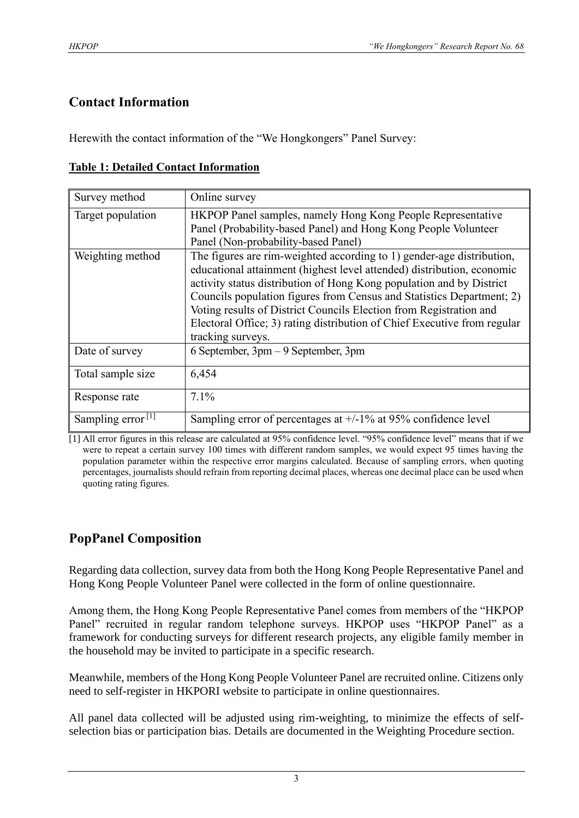# **Contact Information**

Herewith the contact information of the "We Hongkongers" Panel Survey:

|  | <b>Table 1: Detailed Contact Information</b> |
|--|----------------------------------------------|
|  |                                              |

| Survey method                 | Online survey                                                                                                                                                                                                                                                                                                                                                                                                                                                           |
|-------------------------------|-------------------------------------------------------------------------------------------------------------------------------------------------------------------------------------------------------------------------------------------------------------------------------------------------------------------------------------------------------------------------------------------------------------------------------------------------------------------------|
| Target population             | HKPOP Panel samples, namely Hong Kong People Representative<br>Panel (Probability-based Panel) and Hong Kong People Volunteer<br>Panel (Non-probability-based Panel)                                                                                                                                                                                                                                                                                                    |
| Weighting method              | The figures are rim-weighted according to 1) gender-age distribution,<br>educational attainment (highest level attended) distribution, economic<br>activity status distribution of Hong Kong population and by District<br>Councils population figures from Census and Statistics Department; 2)<br>Voting results of District Councils Election from Registration and<br>Electoral Office; 3) rating distribution of Chief Executive from regular<br>tracking surveys. |
| Date of survey                | 6 September, 3pm – 9 September, 3pm                                                                                                                                                                                                                                                                                                                                                                                                                                     |
| Total sample size             | 6,454                                                                                                                                                                                                                                                                                                                                                                                                                                                                   |
| Response rate                 | $7.1\%$                                                                                                                                                                                                                                                                                                                                                                                                                                                                 |
| Sampling error <sup>[1]</sup> | Sampling error of percentages at $+/-1\%$ at 95% confidence level                                                                                                                                                                                                                                                                                                                                                                                                       |

[1] All error figures in this release are calculated at 95% confidence level. "95% confidence level" means that if we were to repeat a certain survey 100 times with different random samples, we would expect 95 times having the population parameter within the respective error margins calculated. Because of sampling errors, when quoting percentages, journalists should refrain from reporting decimal places, whereas one decimal place can be used when quoting rating figures.

# **PopPanel Composition**

Regarding data collection, survey data from both the Hong Kong People Representative Panel and Hong Kong People Volunteer Panel were collected in the form of online questionnaire.

Among them, the Hong Kong People Representative Panel comes from members of the "HKPOP Panel" recruited in regular random telephone surveys. HKPOP uses "HKPOP Panel" as a framework for conducting surveys for different research projects, any eligible family member in the household may be invited to participate in a specific research.

Meanwhile, members of the Hong Kong People Volunteer Panel are recruited online. Citizens only need to self-register in HKPORI website to participate in online questionnaires.

All panel data collected will be adjusted using rim-weighting, to minimize the effects of selfselection bias or participation bias. Details are documented in the Weighting Procedure section.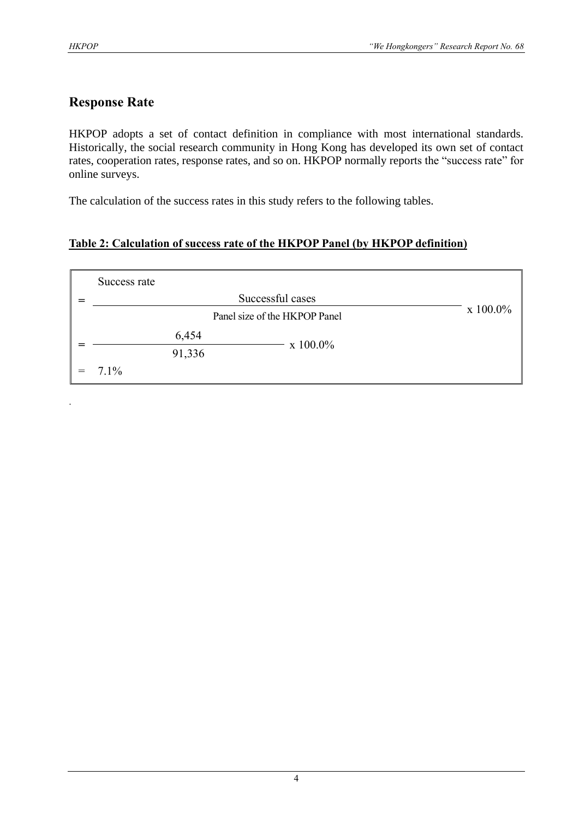.

# **Response Rate**

HKPOP adopts a set of contact definition in compliance with most international standards. Historically, the social research community in Hong Kong has developed its own set of contact rates, cooperation rates, response rates, and so on. HKPOP normally reports the "success rate" for online surveys.

The calculation of the success rates in this study refers to the following tables.

# **Table 2: Calculation of success rate of the HKPOP Panel (by HKPOP definition)**

|     | Success rate |        |                               |                  |
|-----|--------------|--------|-------------------------------|------------------|
|     |              |        | Successful cases              |                  |
|     |              |        | Panel size of the HKPOP Panel | $\rm x\;100.0\%$ |
|     |              | 6,454  | $\rm x\;100.0\%$              |                  |
|     |              | 91,336 |                               |                  |
| $=$ | $7.1\%$      |        |                               |                  |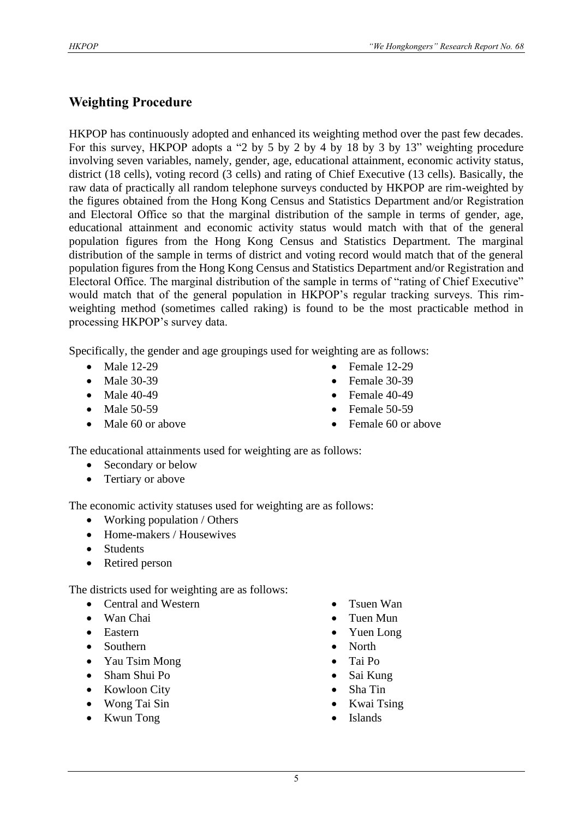# **Weighting Procedure**

HKPOP has continuously adopted and enhanced its weighting method over the past few decades. For this survey, HKPOP adopts a "2 by 5 by 2 by 4 by 18 by 3 by 13" weighting procedure involving seven variables, namely, gender, age, educational attainment, economic activity status, district (18 cells), voting record (3 cells) and rating of Chief Executive (13 cells). Basically, the raw data of practically all random telephone surveys conducted by HKPOP are rim-weighted by the figures obtained from the Hong Kong Census and Statistics Department and/or Registration and Electoral Office so that the marginal distribution of the sample in terms of gender, age, educational attainment and economic activity status would match with that of the general population figures from the Hong Kong Census and Statistics Department. The marginal distribution of the sample in terms of district and voting record would match that of the general population figures from the Hong Kong Census and Statistics Department and/or Registration and Electoral Office. The marginal distribution of the sample in terms of "rating of Chief Executive" would match that of the general population in HKPOP's regular tracking surveys. This rimweighting method (sometimes called raking) is found to be the most practicable method in processing HKPOP's survey data.

Specifically, the gender and age groupings used for weighting are as follows:

- Male 12-29
- Male 30-39
- Male 40-49
- Male 50-59
- Male 60 or above
- Female 12-29
- Female 30-39
- Female  $40-49$
- Female 50-59
- Female 60 or above

The educational attainments used for weighting are as follows:

- Secondary or below
- Tertiary or above

The economic activity statuses used for weighting are as follows:

- Working population / Others
- Home-makers / Housewives
- Students
- Retired person

The districts used for weighting are as follows:

- Central and Western
- Wan Chai
- Eastern
- Southern
- Yau Tsim Mong
- Sham Shui Po
- Kowloon City
- Wong Tai Sin
- Kwun Tong
- Tsuen Wan
- Tuen Mun
- Yuen Long
- North
- Tai Po
- Sai Kung
- Sha Tin
- Kwai Tsing
- **Islands**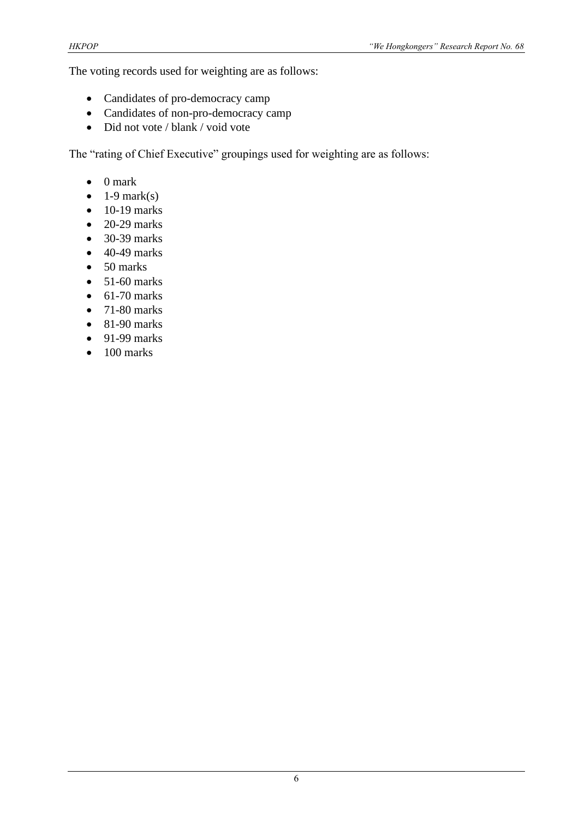The voting records used for weighting are as follows:

- Candidates of pro-democracy camp
- Candidates of non-pro-democracy camp
- Did not vote / blank / void vote

The "rating of Chief Executive" groupings used for weighting are as follows:

- 0 mark
- $\bullet$  1-9 mark(s)
- $\bullet$  10-19 marks
- $\bullet$  20-29 marks
- 30-39 marks
- $\bullet$  40-49 marks
- 50 marks
- $\bullet$  51-60 marks
- $\bullet$  61-70 marks
- $\bullet$  71-80 marks
- $\bullet$  81-90 marks
- $\bullet$  91-99 marks
- $\bullet$  100 marks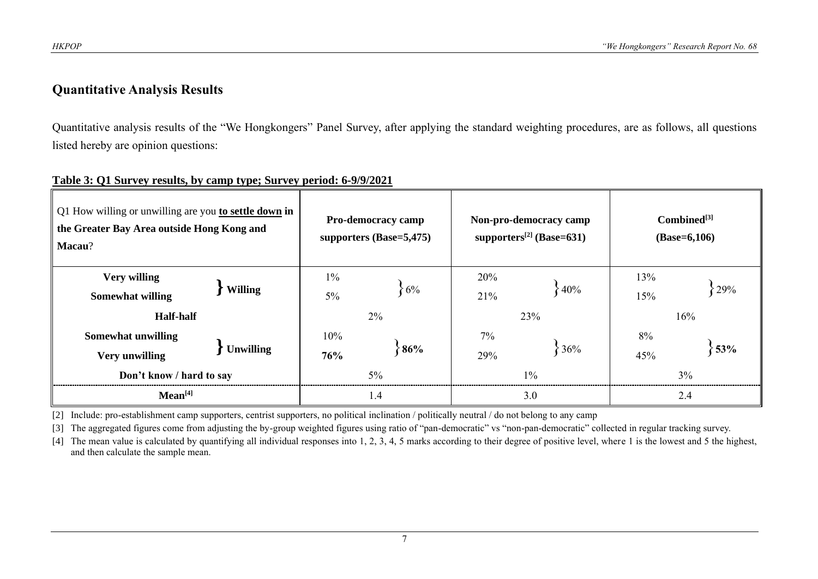# **Quantitative Analysis Results**

Quantitative analysis results of the "We Hongkongers" Panel Survey, after applying the standard weighting procedures, are as follows, all questions listed hereby are opinion questions:

| Q1 How willing or unwilling are you to settle down in<br>the Greater Bay Area outside Hong Kong and<br>Macau? |                  |                | <b>Pro-democracy camp</b><br>supporters $(Base=5,475)$ |            | Non-pro-democracy camp<br>supporters <sup>[2]</sup> (Base=631) | $Combined^{[3]}$<br>$(Base=6,106)$ |           |  |
|---------------------------------------------------------------------------------------------------------------|------------------|----------------|--------------------------------------------------------|------------|----------------------------------------------------------------|------------------------------------|-----------|--|
| <b>Very willing</b><br><b>Somewhat willing</b><br><b>Half-half</b>                                            | <b>Willing</b>   | $1\%$<br>$5\%$ | $6\%$<br>2%                                            | 20%<br>21% | 840%<br>23%                                                    | 13%<br>29%<br>15%<br>16%           |           |  |
| Somewhat unwilling<br><b>Very unwilling</b><br>Don't know / hard to say                                       | <b>Unwilling</b> | 10%<br>76%     | 86%<br>$5\%$                                           | 7%<br>29%  | 36%<br>$1\%$                                                   | 8%<br>45%                          | 53%<br>3% |  |
| Mean <sup>[4]</sup>                                                                                           |                  | 1.4            |                                                        | 3.0        | 2.4                                                            |                                    |           |  |

#### **Table 3: Q1 Survey results, by camp type; Survey period: 6-9/9/2021**

[2] Include: pro-establishment camp supporters, centrist supporters, no political inclination / politically neutral / do not belong to any camp

[3] The aggregated figures come from adjusting the by-group weighted figures using ratio of "pan-democratic" vs "non-pan-democratic" collected in regular tracking survey.

[4] The mean value is calculated by quantifying all individual responses into 1, 2, 3, 4, 5 marks according to their degree of positive level, where 1 is the lowest and 5 the highest, and then calculate the sample mean.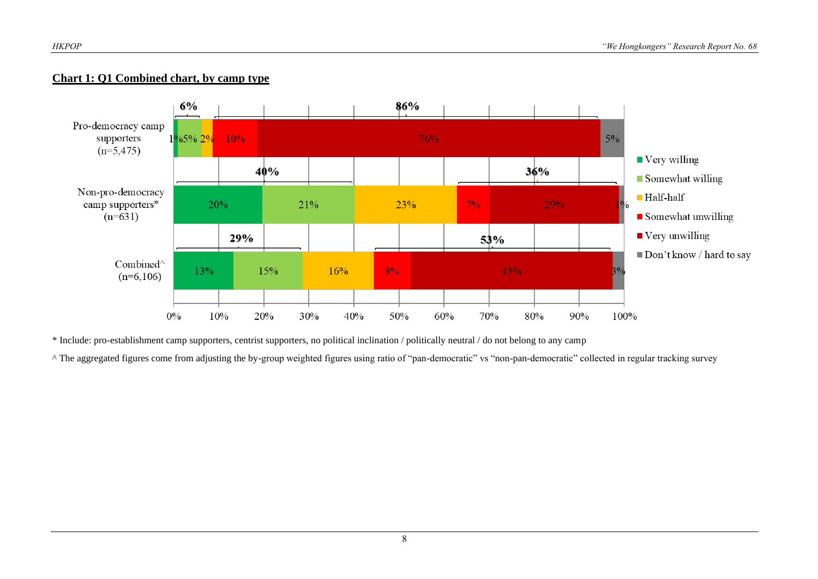#### **Chart 1: Q1 Combined chart, by camp type**



\* Include: pro-establishment camp supporters, centrist supporters, no political inclination / politically neutral / do not belong to any camp

^ The aggregated figures come from adjusting the by-group weighted figures using ratio of "pan-democratic" vs "non-pan-democratic" collected in regular tracking survey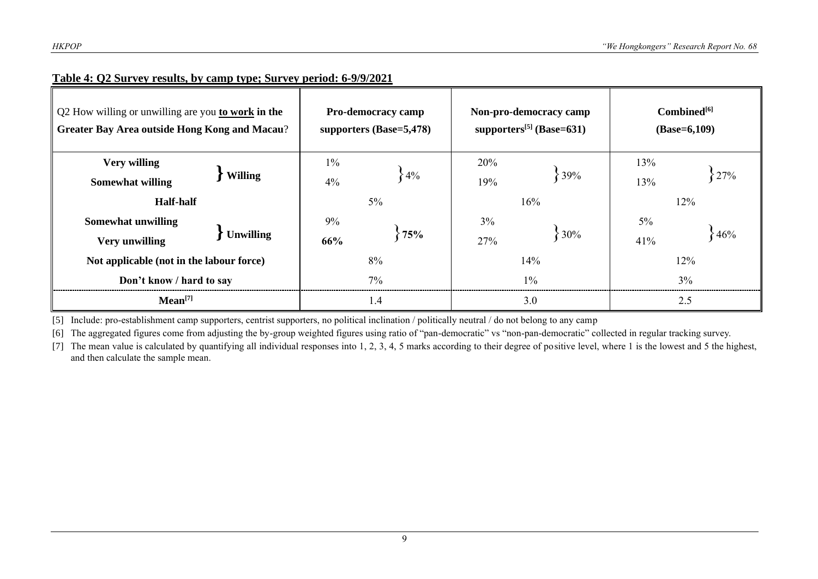| Q2 How willing or unwilling are you to work in the<br><b>Greater Bay Area outside Hong Kong and Macau?</b> |                  |     | <b>Pro-democracy camp</b><br>supporters (Base=5,478) |       | Non-pro-democracy camp<br>supporters <sup>[5]</sup> (Base=631) | $Combined^{[6]}$<br>$(Base=6,109)$ |        |  |
|------------------------------------------------------------------------------------------------------------|------------------|-----|------------------------------------------------------|-------|----------------------------------------------------------------|------------------------------------|--------|--|
| <b>Very willing</b>                                                                                        | <b>Willing</b>   |     |                                                      | 20%   |                                                                | 13%                                |        |  |
| <b>Somewhat willing</b>                                                                                    |                  | 4%  | $-4\%$                                               | 19%   | 39%                                                            | 13%                                | 27%    |  |
| <b>Half-half</b>                                                                                           |                  |     | $5\%$                                                |       | 16%                                                            | 12%                                |        |  |
| <b>Somewhat unwilling</b>                                                                                  |                  | 9%  |                                                      | $3\%$ |                                                                | $5\%$                              |        |  |
| <b>Very unwilling</b>                                                                                      | <b>Unwilling</b> | 66% | 75%                                                  | 27%   | 30%                                                            | 41%                                | $-46%$ |  |
| Not applicable (not in the labour force)                                                                   |                  | 8%  |                                                      | 14%   | $12\%$                                                         |                                    |        |  |
| Don't know / hard to say                                                                                   |                  | 7%  |                                                      | $1\%$ | 3%                                                             |                                    |        |  |
| Mean <sup>[7]</sup>                                                                                        |                  | 1.4 |                                                      | 3.0   | 2.5                                                            |                                    |        |  |

#### **Table 4: Q2 Survey results, by camp type; Survey period: 6-9/9/2021**

[5] Include: pro-establishment camp supporters, centrist supporters, no political inclination / politically neutral / do not belong to any camp

[6] The aggregated figures come from adjusting the by-group weighted figures using ratio of "pan-democratic" vs "non-pan-democratic" collected in regular tracking survey.

[7] The mean value is calculated by quantifying all individual responses into 1, 2, 3, 4, 5 marks according to their degree of positive level, where 1 is the lowest and 5 the highest, and then calculate the sample mean.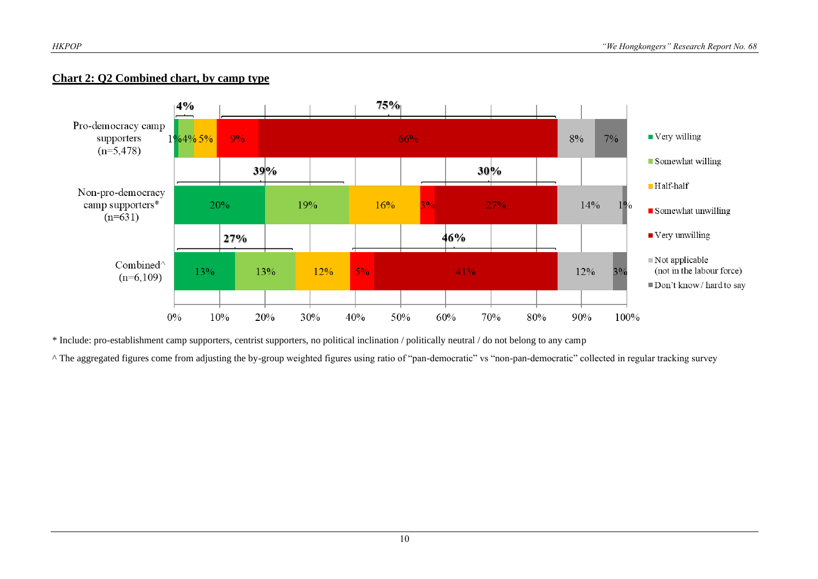#### **Chart 2: Q2 Combined chart, by camp type**



\* Include: pro-establishment camp supporters, centrist supporters, no political inclination / politically neutral / do not belong to any camp

^ The aggregated figures come from adjusting the by-group weighted figures using ratio of "pan-democratic" vs "non-pan-democratic" collected in regular tracking survey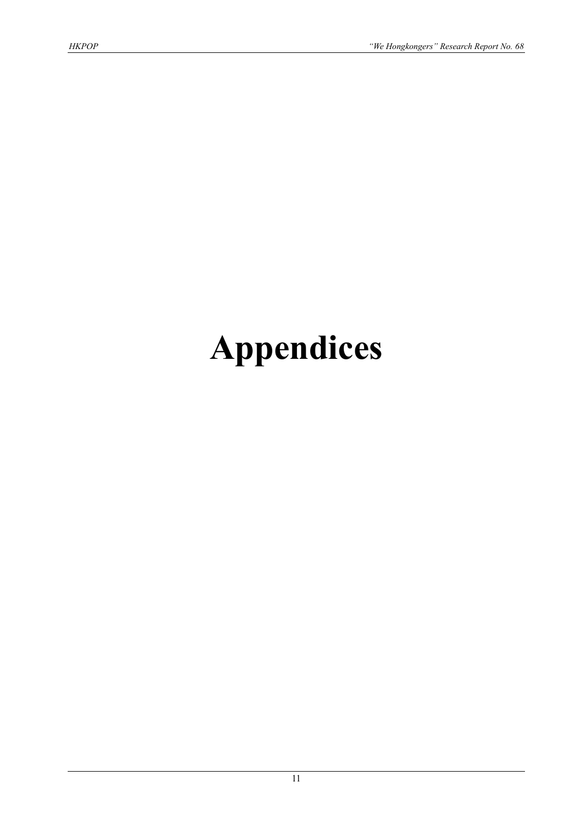# **Appendices**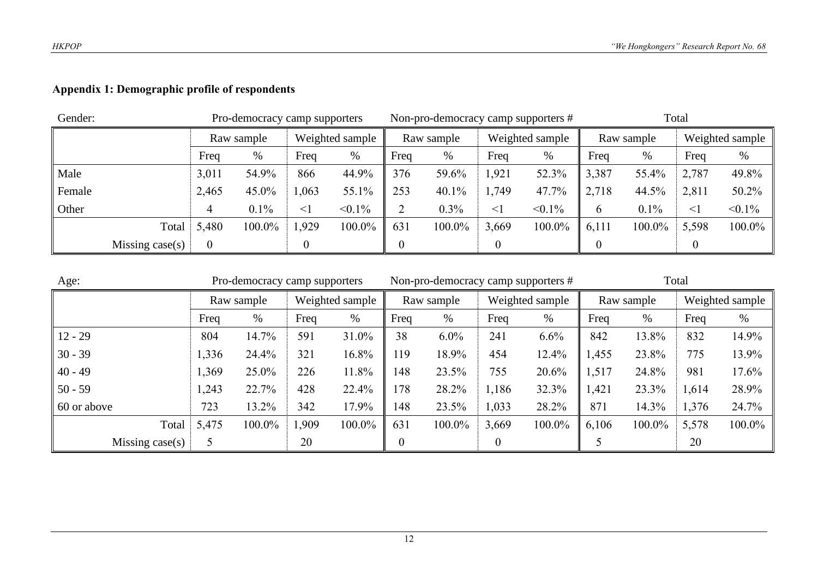# **Appendix 1: Demographic profile of respondents**

| Gender: |                   |                                      | Pro-democracy camp supporters |                 |           |     | Non-pro-democracy camp supporters # |          |                 | Total         |            |          |                 |  |
|---------|-------------------|--------------------------------------|-------------------------------|-----------------|-----------|-----|-------------------------------------|----------|-----------------|---------------|------------|----------|-----------------|--|
|         |                   |                                      | Raw sample                    | Weighted sample |           |     | Raw sample                          |          | Weighted sample |               | Raw sample |          | Weighted sample |  |
|         |                   | Freq<br>%<br>%<br>Freq               |                               |                 | Freq      | %   | Freq                                | %        | Freq            | %             | Freq       | $\%$     |                 |  |
| Male    |                   | 3,011                                | 54.9%                         | 866             | 44.9%     | 376 | 59.6%                               | 1,921    | 52.3%           | 3,387         | 55.4%      | 2,787    | 49.8%           |  |
| Female  |                   | 2,465                                | 45.0%                         | ,063            | 55.1%     | 253 | 40.1%                               | 1,749    | 47.7%           | 2,718         | 44.5%      | 2,811    | 50.2%           |  |
| Other   |                   | 4                                    | 0.1%                          | $\leq$ 1        | $< 0.1\%$ | ∍   | $0.3\%$                             | $\leq$ 1 | $< 0.1\%$       | $\mathfrak b$ | 0.1%       | $\leq$ 1 | $< 0.1\%$       |  |
|         | Total             | 5,480                                | 100.0%                        | 1,929           | 100.0%    | 631 | 100.0%                              | 3,669    | 100.0%          | 6,111         | 100.0%     | 5,598    | 100.0%          |  |
|         | Missing $case(s)$ | $\boldsymbol{0}$<br>$\boldsymbol{0}$ |                               |                 |           |     |                                     |          |                 |               |            |          |                 |  |

| Age:                |           | Pro-democracy camp supporters |                 |        |            | Non-pro-democracy camp supporters # |                 |        | Total |            |                 |        |
|---------------------|-----------|-------------------------------|-----------------|--------|------------|-------------------------------------|-----------------|--------|-------|------------|-----------------|--------|
|                     |           | Raw sample                    | Weighted sample |        | Raw sample |                                     | Weighted sample |        |       | Raw sample | Weighted sample |        |
|                     | %<br>Freq |                               | Freq            | %      | Freq       | %                                   | Freq<br>$\%$    |        | Freq  | %          | Freq            | %      |
| $12 - 29$           | 804       | 14.7%                         | 591             | 31.0%  | 38         | $6.0\%$                             | 241             | 6.6%   | 842   | 13.8%      | 832             | 14.9%  |
| $30 - 39$           | 1,336     | 24.4%                         | 321             | 16.8%  | 119        | 18.9%                               | 454             | 12.4%  | 1,455 | 23.8%      | 775             | 13.9%  |
| $40 - 49$           | 1,369     | 25.0%                         | 226             | 11.8%  | 148        | 23.5%                               | 755             | 20.6%  | 1,517 | 24.8%      | 981             | 17.6%  |
| $50 - 59$           | 1,243     | 22.7%                         | 428             | 22.4%  | 178        | 28.2%                               | 1,186           | 32.3%  | 1,421 | 23.3%      | 1,614           | 28.9%  |
| $\vert$ 60 or above | 723       | 13.2%                         | 342             | 17.9%  | 148        | 23.5%                               | 1,033           | 28.2%  | 871   | 14.3%      | 1,376           | 24.7%  |
| Total               | 5,475     | 100.0%                        | 1,909           | 100.0% | 631        | 100.0%                              | 3,669           | 100.0% | 6,106 | 100.0%     | 5,578           | 100.0% |
| Missing case $(s)$  | 20        |                               |                 |        | 0<br>0     |                                     |                 |        |       |            | 20              |        |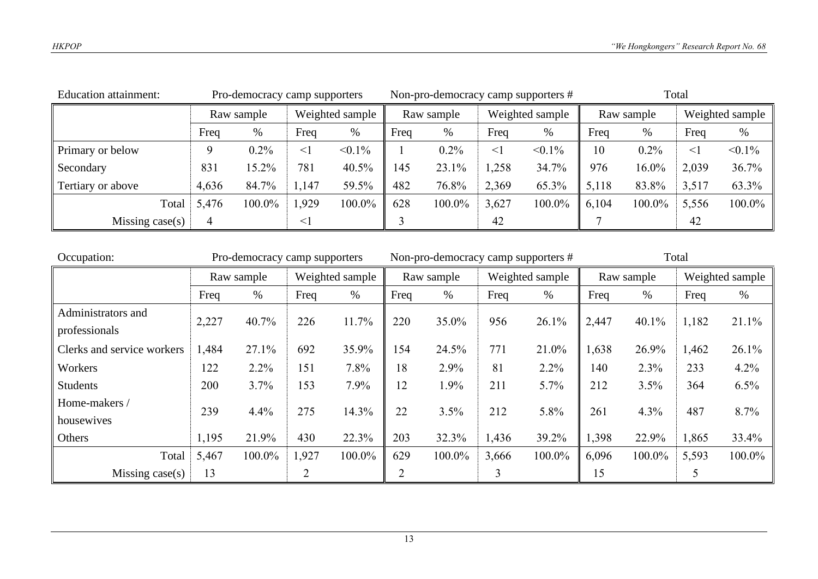| <b>Education attainment:</b> | Pro-democracy camp supporters |            |          |                 |      |            |                 | Non-pro-democracy camp supporters # | Total      |         |                 |           |
|------------------------------|-------------------------------|------------|----------|-----------------|------|------------|-----------------|-------------------------------------|------------|---------|-----------------|-----------|
|                              |                               | Raw sample |          | Weighted sample |      | Raw sample | Weighted sample |                                     | Raw sample |         | Weighted sample |           |
|                              | %<br>Freq                     |            | Freq     | $\%$            | Freq | %          | Freq<br>%       |                                     | Freq       | %       | Freq            | %         |
| Primary or below             | q                             | $0.2\%$    | $\leq$ 1 | $< 0.1\%$       |      | $0.2\%$    | $\leq$ 1        | $< 0.1\%$                           | 10         | $0.2\%$ | $\leq$ 1        | $< 0.1\%$ |
| Secondary                    | 831                           | 15.2%      | 781      | 40.5%           | 145  | 23.1%      | 1,258           | 34.7%                               | 976        | 16.0%   | 2,039           | 36.7%     |
| Tertiary or above            | 4,636                         | 84.7%      | 1,147    | 59.5%           | 482  | 76.8%      | 2,369           | 65.3%                               | 5,118      | 83.8%   | 3,517           | 63.3%     |
| Total                        | 5,476                         | 100.0%     | 1,929    | 100.0%          | 628  | 100.0%     | 3,627           | 100.0%                              | 6,104      | 100.0%  | 5,556           | 100.0%    |
| Missing case(s)              |                               | $\leq$     |          |                 |      | 42         |                 |                                     |            | 42      |                 |           |

| Occupation:                         |       | Pro-democracy camp supporters |                 |           |     | Non-pro-democracy camp supporters # |                 |        | Total      |        |       |                 |
|-------------------------------------|-------|-------------------------------|-----------------|-----------|-----|-------------------------------------|-----------------|--------|------------|--------|-------|-----------------|
|                                     |       | Raw sample                    | Weighted sample |           |     | Raw sample                          | Weighted sample |        | Raw sample |        |       | Weighted sample |
|                                     | Freq  | $\%$                          | Freq            | %<br>Freq |     | %                                   | Freq            | %      | Freq       | $\%$   | Freq  | $\%$            |
| Administrators and<br>professionals | 2,227 | 40.7%                         | 226             | 11.7%     | 220 | 35.0%                               | 956             | 26.1%  | 2,447      | 40.1%  | 1,182 | 21.1%           |
| Clerks and service workers          | 1,484 | 27.1%                         | 692             | 35.9%     | 154 | 24.5%                               | 771             | 21.0%  | 1,638      | 26.9%  | 1,462 | 26.1%           |
| Workers                             | 122   | 2.2%                          | 151             | 7.8%      | 18  | 2.9%                                | 81              | 2.2%   | 140        | 2.3%   | 233   | 4.2%            |
| <b>Students</b>                     | 200   | 3.7%                          | 153             | 7.9%      | 12  | 1.9%                                | 211             | 5.7%   | 212        | 3.5%   | 364   | $6.5\%$         |
| Home-makers /<br>housewives         | 239   | 4.4%                          | 275             | 14.3%     | 22  | 3.5%                                | 212             | 5.8%   | 261        | 4.3%   | 487   | 8.7%            |
| Others                              | 1,195 | 21.9%                         | 430             | 22.3%     | 203 | 32.3%                               | 1,436           | 39.2%  | 1,398      | 22.9%  | 1,865 | 33.4%           |
| Total                               | 5,467 | 100.0%                        | 1,927           | 100.0%    | 629 | 100.0%                              | 3,666           | 100.0% | 6,096      | 100.0% | 5,593 | 100.0%          |
| Missing $case(s)$                   | 13    |                               | 2               |           |     |                                     | 3               |        | 15         |        | 5     |                 |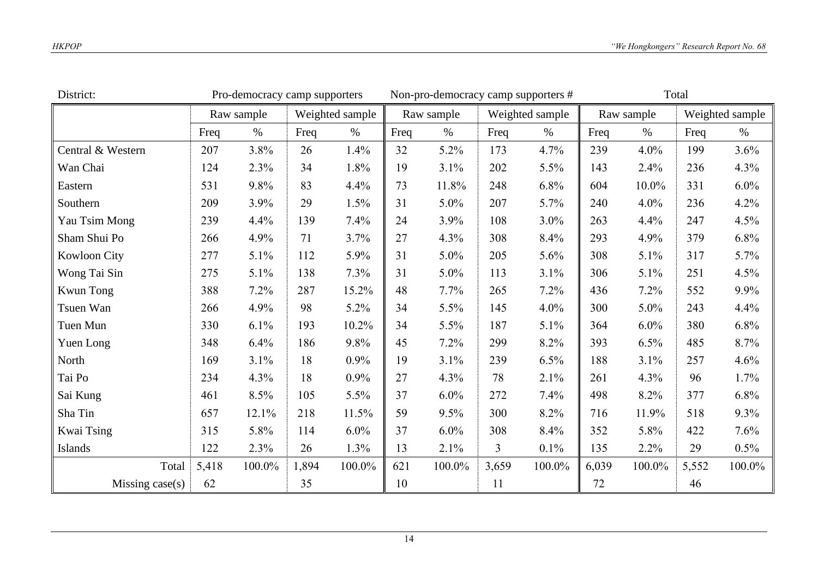| District:         |       | Pro-democracy camp supporters |       |                 |      | Non-pro-democracy camp supporters # |       |                 | Total |            |       |                 |
|-------------------|-------|-------------------------------|-------|-----------------|------|-------------------------------------|-------|-----------------|-------|------------|-------|-----------------|
|                   |       | Raw sample                    |       | Weighted sample |      | Raw sample                          |       | Weighted sample |       | Raw sample |       | Weighted sample |
|                   | Freq  | $\%$                          | Freq  | $\%$            | Freq | $\%$                                | Freq  | $\%$            | Freq  | $\%$       | Freq  | $\%$            |
| Central & Western | 207   | 3.8%                          | 26    | 1.4%            | 32   | 5.2%                                | 173   | 4.7%            | 239   | 4.0%       | 199   | 3.6%            |
| Wan Chai          | 124   | 2.3%                          | 34    | 1.8%            | 19   | 3.1%                                | 202   | 5.5%            | 143   | 2.4%       | 236   | 4.3%            |
| Eastern           | 531   | 9.8%                          | 83    | 4.4%            | 73   | 11.8%                               | 248   | 6.8%            | 604   | 10.0%      | 331   | $6.0\%$         |
| Southern          | 209   | 3.9%                          | 29    | 1.5%            | 31   | 5.0%                                | 207   | 5.7%            | 240   | 4.0%       | 236   | 4.2%            |
| Yau Tsim Mong     | 239   | 4.4%                          | 139   | 7.4%            | 24   | 3.9%                                | 108   | $3.0\%$         | 263   | 4.4%       | 247   | 4.5%            |
| Sham Shui Po      | 266   | 4.9%                          | 71    | 3.7%            | 27   | 4.3%                                | 308   | 8.4%            | 293   | 4.9%       | 379   | 6.8%            |
| Kowloon City      | 277   | 5.1%                          | 112   | 5.9%            | 31   | 5.0%                                | 205   | 5.6%            | 308   | 5.1%       | 317   | 5.7%            |
| Wong Tai Sin      | 275   | 5.1%                          | 138   | 7.3%            | 31   | 5.0%                                | 113   | 3.1%            | 306   | 5.1%       | 251   | 4.5%            |
| Kwun Tong         | 388   | 7.2%                          | 287   | 15.2%           | 48   | 7.7%                                | 265   | 7.2%            | 436   | 7.2%       | 552   | 9.9%            |
| Tsuen Wan         | 266   | 4.9%                          | 98    | 5.2%            | 34   | 5.5%                                | 145   | 4.0%            | 300   | 5.0%       | 243   | 4.4%            |
| Tuen Mun          | 330   | 6.1%                          | 193   | 10.2%           | 34   | 5.5%                                | 187   | 5.1%            | 364   | $6.0\%$    | 380   | 6.8%            |
| Yuen Long         | 348   | 6.4%                          | 186   | 9.8%            | 45   | 7.2%                                | 299   | 8.2%            | 393   | 6.5%       | 485   | 8.7%            |
| North             | 169   | 3.1%                          | 18    | 0.9%            | 19   | 3.1%                                | 239   | 6.5%            | 188   | 3.1%       | 257   | 4.6%            |
| Tai Po            | 234   | 4.3%                          | 18    | 0.9%            | 27   | 4.3%                                | 78    | 2.1%            | 261   | 4.3%       | 96    | 1.7%            |
| Sai Kung          | 461   | 8.5%                          | 105   | 5.5%            | 37   | $6.0\%$                             | 272   | 7.4%            | 498   | 8.2%       | 377   | 6.8%            |
| Sha Tin           | 657   | 12.1%                         | 218   | 11.5%           | 59   | 9.5%                                | 300   | 8.2%            | 716   | 11.9%      | 518   | 9.3%            |
| Kwai Tsing        | 315   | 5.8%                          | 114   | 6.0%            | 37   | 6.0%                                | 308   | 8.4%            | 352   | 5.8%       | 422   | 7.6%            |
| Islands           | 122   | 2.3%                          | 26    | 1.3%            | 13   | 2.1%                                | 3     | 0.1%            | 135   | 2.2%       | 29    | $0.5\%$         |
| Total             | 5,418 | 100.0%                        | 1,894 | 100.0%          | 621  | 100.0%                              | 3,659 | 100.0%          | 6,039 | 100.0%     | 5,552 | 100.0%          |
| Missing case(s)   | 62    |                               | 35    |                 | 10   |                                     | 11    |                 | 72    |            | 46    |                 |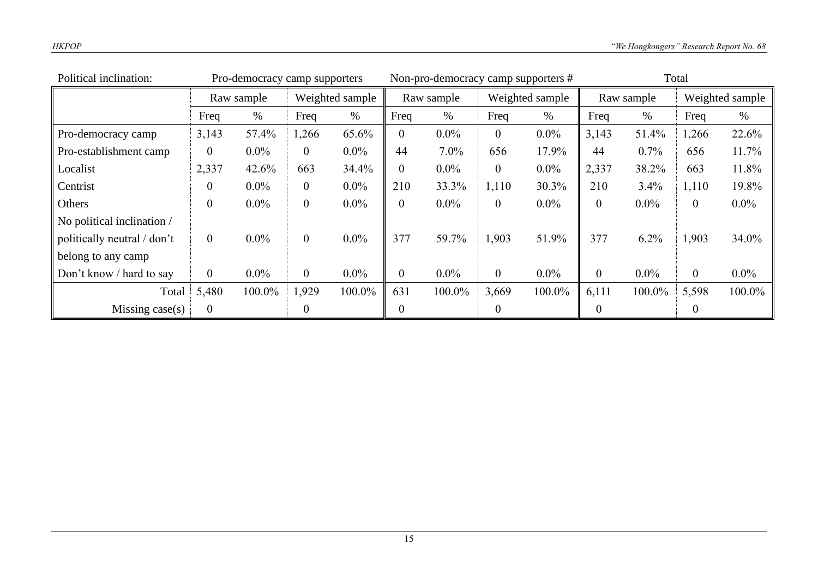| Political inclination:      |                  | Pro-democracy camp supporters |                  |                 |                | Non-pro-democracy camp supporters # |                  |                 | Total          |            |          |                 |
|-----------------------------|------------------|-------------------------------|------------------|-----------------|----------------|-------------------------------------|------------------|-----------------|----------------|------------|----------|-----------------|
|                             |                  | Raw sample                    |                  | Weighted sample |                | Raw sample                          |                  | Weighted sample |                | Raw sample |          | Weighted sample |
|                             | Freq             | $\%$                          | Freq             | $\%$            | Freq           | $\%$                                | Freq             | $\%$            | Freq           | $\%$       | Freq     | $\%$            |
| Pro-democracy camp          | 3,143            | 57.4%                         | 1,266            | 65.6%           | $\overline{0}$ | $0.0\%$                             | $\overline{0}$   | $0.0\%$         | 3,143          | 51.4%      | 1,266    | 22.6%           |
| Pro-establishment camp      | $\theta$         | $0.0\%$                       | $\overline{0}$   | $0.0\%$         | 44             | 7.0%                                | 656              | 17.9%           | 44             | $0.7\%$    | 656      | 11.7%           |
| Localist                    | 2,337            | 42.6%                         | 663              | 34.4%           | $\mathbf{0}$   | $0.0\%$                             | $\overline{0}$   | $0.0\%$         | 2,337          | 38.2%      | 663      | 11.8%           |
| Centrist                    | $\boldsymbol{0}$ | $0.0\%$                       | $\boldsymbol{0}$ | $0.0\%$         | 210            | 33.3%                               | 1,110            | 30.3%           | 210            | 3.4%       | 1,110    | 19.8%           |
| Others                      | $\boldsymbol{0}$ | $0.0\%$                       | $\boldsymbol{0}$ | $0.0\%$         | $\mathbf{0}$   | $0.0\%$                             | $\overline{0}$   | $0.0\%$         | $\overline{0}$ | $0.0\%$    | $\theta$ | $0.0\%$         |
| No political inclination /  |                  |                               |                  |                 |                |                                     |                  |                 |                |            |          |                 |
| politically neutral / don't | $\overline{0}$   | $0.0\%$                       | $\boldsymbol{0}$ | $0.0\%$         | 377            | 59.7%                               | 1,903            | 51.9%           | 377            | $6.2\%$    | 1,903    | 34.0%           |
| belong to any camp          |                  |                               |                  |                 |                |                                     |                  |                 |                |            |          |                 |
| Don't know / hard to say    | $\overline{0}$   | $0.0\%$                       | $\mathbf{0}$     | $0.0\%$         | $\mathbf{0}$   | $0.0\%$                             | $\overline{0}$   | $0.0\%$         | $\overline{0}$ | $0.0\%$    | $\theta$ | $0.0\%$         |
| Total                       | 5,480            | 100.0%                        | 1,929            | 100.0%          | 631            | 100.0%                              | 3,669            | 100.0%          | 6,111          | 100.0%     | 5,598    | 100.0%          |
| Missing $case(s)$           | $\mathbf{0}$     |                               | $\boldsymbol{0}$ |                 | $\overline{0}$ |                                     | $\boldsymbol{0}$ |                 | $\overline{0}$ |            | $\theta$ |                 |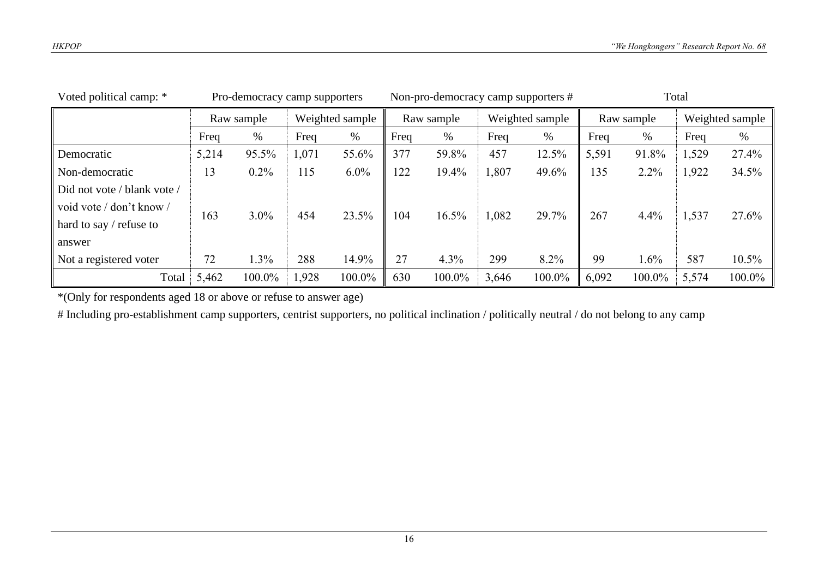| Voted political camp: *     |           | Pro-democracy camp supporters |                 |         |            | Non-pro-democracy camp supporters # |                 |        | Total |            |                 |           |
|-----------------------------|-----------|-------------------------------|-----------------|---------|------------|-------------------------------------|-----------------|--------|-------|------------|-----------------|-----------|
|                             |           | Raw sample                    | Weighted sample |         | Raw sample |                                     | Weighted sample |        |       | Raw sample | Weighted sample |           |
|                             | Freq<br>% |                               | Freq            | %       | Freq       | %                                   | Freq<br>%       |        | Freq  | %          | Freq            | %         |
| Democratic                  | 5,214     | 95.5%                         | 1,071           | 55.6%   | 377        | 59.8%                               | 457             | 12.5%  | 5,591 | 91.8%      | 1,529           | 27.4%     |
| Non-democratic              | 13        | $0.2\%$                       | 115             | $6.0\%$ | 122        | 19.4%                               | 1,807           | 49.6%  | 135   | $2.2\%$    | 1,922           | 34.5%     |
| Did not vote / blank vote / |           |                               |                 |         |            |                                     |                 |        |       |            |                 |           |
| void vote / don't know /    | 163       | $3.0\%$                       | 454             | 23.5%   | 104        | 16.5%                               | 1,082           | 29.7%  | 267   | 4.4%       | 1,537           | 27.6%     |
| hard to say $/$ refuse to   |           |                               |                 |         |            |                                     |                 |        |       |            |                 |           |
| answer                      |           |                               |                 |         |            |                                     |                 |        |       |            |                 |           |
| Not a registered voter      | 72        | 1.3%                          | 288             | 14.9%   | 27         | 4.3%                                | 299             | 8.2%   | 99    | 1.6%       | 587             | $10.5\%$  |
| Total                       | 5,462     | 100.0%                        | 1,928           | 100.0%  | 630        | 100.0%                              | 3,646           | 100.0% | 6,092 | 100.0%     | 5,574           | $100.0\%$ |

\*(Only for respondents aged 18 or above or refuse to answer age)

# Including pro-establishment camp supporters, centrist supporters, no political inclination / politically neutral / do not belong to any camp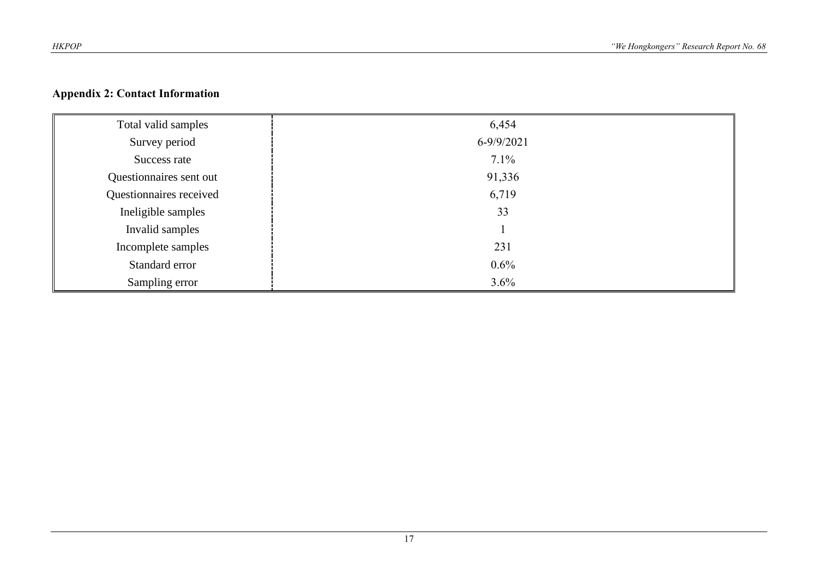## **Appendix 2: Contact Information**

| Total valid samples     | 6,454          |
|-------------------------|----------------|
| Survey period           | $6 - 9/9/2021$ |
| Success rate            | 7.1%           |
| Questionnaires sent out | 91,336         |
| Questionnaires received | 6,719          |
| Ineligible samples      | 33             |
| Invalid samples         |                |
| Incomplete samples      | 231            |
| Standard error          | $0.6\%$        |
| Sampling error          | 3.6%           |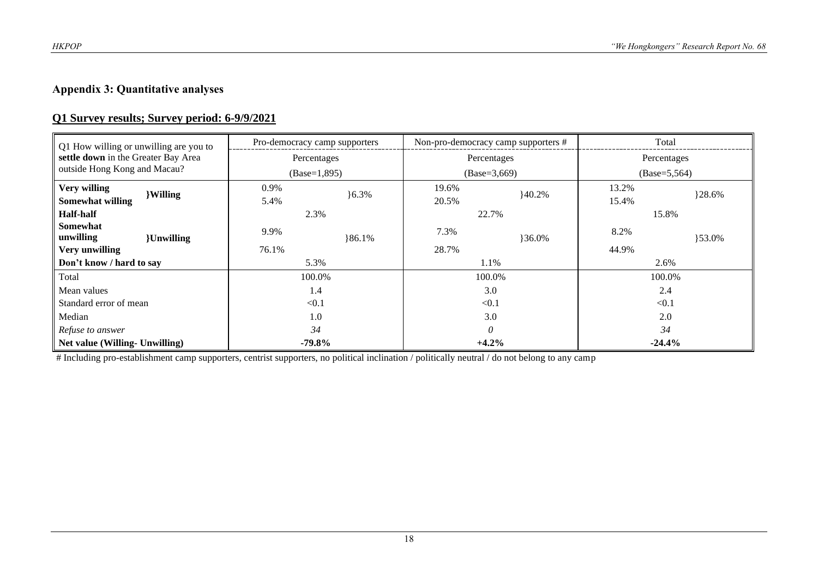# **Appendix 3: Quantitative analyses**

## **Q1 Survey results; Survey period: 6-9/9/2021**

| Q1 How willing or unwilling are you to<br>settle down in the Greater Bay Area<br>outside Hong Kong and Macau? |                   | Pro-democracy camp supporters |          | Non-pro-democracy camp supporters # |        | Total           |        |  |
|---------------------------------------------------------------------------------------------------------------|-------------------|-------------------------------|----------|-------------------------------------|--------|-----------------|--------|--|
|                                                                                                               |                   | Percentages                   |          | Percentages                         |        | Percentages     |        |  |
|                                                                                                               |                   | $(Base=1,895)$                |          | $(Base=3,669)$                      |        | $(Base=5, 564)$ |        |  |
| Very willing                                                                                                  | <b>Willing</b>    | 0.9%                          | $6.3\%$  | 19.6%                               | 40.2%  | 13.2%           | }28.6% |  |
| Somewhat willing                                                                                              |                   | 5.4%                          |          | 20.5%                               |        | 15.4%           |        |  |
| <b>Half-half</b>                                                                                              |                   |                               | 2.3%     |                                     | 22.7%  |                 | 15.8%  |  |
| Somewhat<br>unwilling                                                                                         | <b>{Unwilling</b> | 9.9%                          | $86.1\%$ | 7.3%                                | }36.0% | 8.2%            | }53.0% |  |
| Very unwilling                                                                                                |                   | 76.1%                         |          | 28.7%                               |        | 44.9%           |        |  |
| Don't know / hard to say                                                                                      |                   | 5.3%                          |          | 1.1%                                |        | 2.6%            |        |  |
| Total                                                                                                         |                   | 100.0%                        |          | 100.0%                              |        | 100.0%          |        |  |
| Mean values                                                                                                   |                   | 1.4                           |          | 3.0                                 |        | 2.4             |        |  |
| Standard error of mean                                                                                        |                   | < 0.1                         |          | < 0.1                               |        | < 0.1           |        |  |
| Median                                                                                                        |                   | 1.0                           |          | 3.0                                 |        | 2.0             |        |  |
| Refuse to answer                                                                                              |                   | 34                            |          | 0                                   |        | 34              |        |  |
| Net value (Willing- Unwilling)                                                                                |                   | $-79.8%$                      |          | $+4.2%$                             |        | $-24.4%$        |        |  |

# Including pro-establishment camp supporters, centrist supporters, no political inclination / politically neutral / do not belong to any camp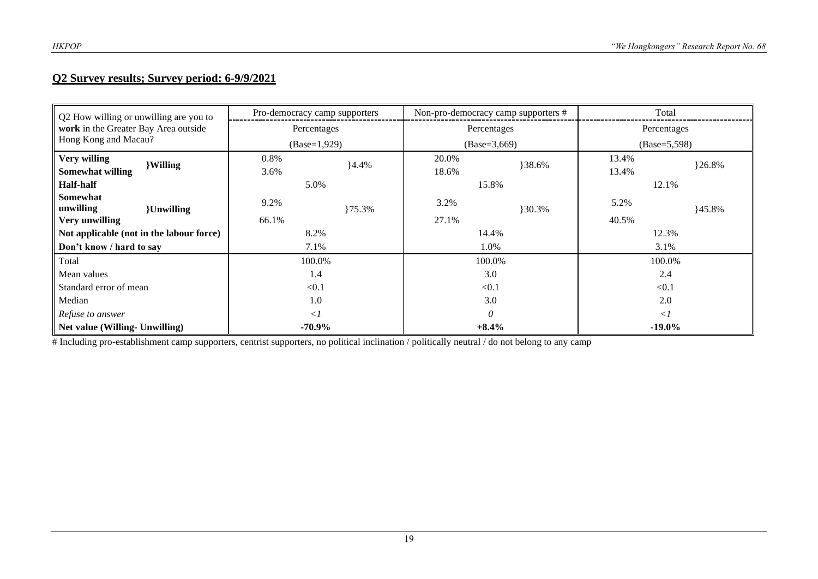# **Q2 Survey results; Survey period: 6-9/9/2021**

| Q2 How willing or unwilling are you to<br>work in the Greater Bay Area outside<br>Hong Kong and Macau? |                    | Pro-democracy camp supporters |        | Non-pro-democracy camp supporters # |        | Total          |        |  |
|--------------------------------------------------------------------------------------------------------|--------------------|-------------------------------|--------|-------------------------------------|--------|----------------|--------|--|
|                                                                                                        |                    | Percentages                   |        | Percentages                         |        | Percentages    |        |  |
|                                                                                                        |                    | $(Base=1,929)$                |        | $(Base=3,669)$                      |        | $(Base=5,598)$ |        |  |
| Very willing                                                                                           | <b>Willing</b>     | 0.8%                          | 4.4%   | 20.0%                               | }38.6% | 13.4%          | }26.8% |  |
| <b>Somewhat willing</b>                                                                                |                    | 3.6%                          |        | 18.6%                               |        | 13.4%          |        |  |
| <b>Half-half</b>                                                                                       |                    |                               | 5.0%   |                                     | 15.8%  |                | 12.1%  |  |
| <b>Somewhat</b><br>unwilling                                                                           | <b>{Unwilling}</b> | 9.2%                          | }75.3% | 3.2%                                | }30.3% | 5.2%           | }45.8% |  |
| Very unwilling                                                                                         |                    | 66.1%                         |        | 27.1%                               |        | 40.5%          |        |  |
| Not applicable (not in the labour force)                                                               |                    | 8.2%                          |        | 14.4%                               |        | 12.3%          |        |  |
| Don't know / hard to say                                                                               |                    | 7.1%                          |        | 1.0%                                |        | 3.1%           |        |  |
| Total                                                                                                  |                    | 100.0%<br>100.0%              |        |                                     | 100.0% |                |        |  |
| Mean values                                                                                            |                    | 1.4                           |        | 3.0                                 |        | 2.4            |        |  |
| Standard error of mean                                                                                 |                    | < 0.1                         |        | < 0.1                               |        | < 0.1          |        |  |
| Median                                                                                                 |                    | 1.0                           |        | 3.0                                 |        | 2.0            |        |  |
| Refuse to answer                                                                                       |                    | $\langle$                     |        | $\theta$                            |        | $\langle$ 1    |        |  |
| Net value (Willing- Unwilling)                                                                         |                    | $-70.9\%$                     |        | $+8.4%$                             |        | $-19.0\%$      |        |  |

# Including pro-establishment camp supporters, centrist supporters, no political inclination / politically neutral / do not belong to any camp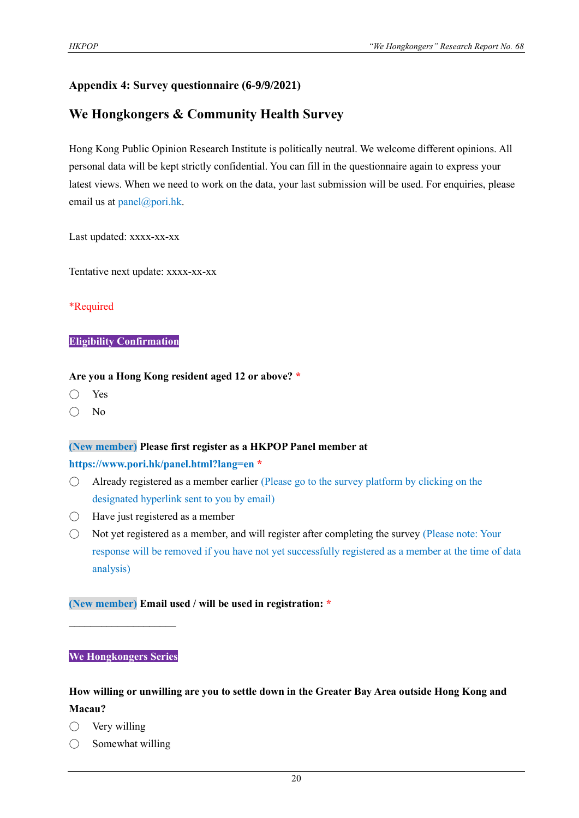## **Appendix 4: Survey questionnaire (6-9/9/2021)**

# **We Hongkongers & Community Health Survey**

Hong Kong Public Opinion Research Institute is politically neutral. We welcome different opinions. All personal data will be kept strictly confidential. You can fill in the questionnaire again to express your latest views. When we need to work on the data, your last submission will be used. For enquiries, please email us at panel@pori.hk.

Last updated: xxxx-xx-xx

Tentative next update: xxxx-xx-xx

#### \*Required

#### **Eligibility Confirmation**

#### **Are you a Hong Kong resident aged 12 or above? \***

- Yes
- No

#### **(New member) Please first register as a HKPOP Panel member at**

#### **https://www.pori.hk/panel.html?lang=en \***

- Already registered as a member earlier (Please go to the survey platform by clicking on the designated hyperlink sent to you by email)
- $\bigcirc$  Have just registered as a member
- $\bigcirc$  Not yet registered as a member, and will register after completing the survey (Please note: Your response will be removed if you have not yet successfully registered as a member at the time of data analysis)

#### **(New member) Email used / will be used in registration: \***

#### **We Hongkongers Series**

 $\mathcal{L}_\text{max}$ 

# **How willing or unwilling are you to settle down in the Greater Bay Area outside Hong Kong and Macau?**

- $\bigcirc$  Very willing
- $\bigcirc$  Somewhat willing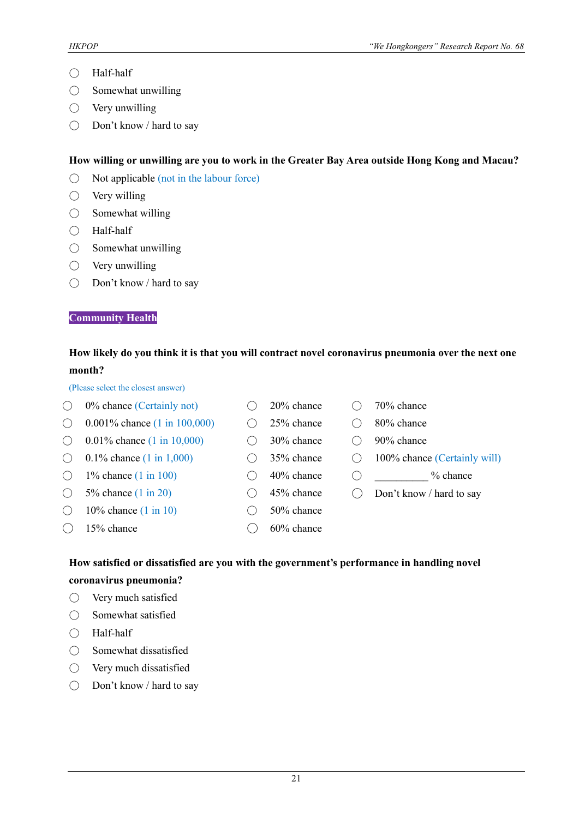- Half-half
- Somewhat unwilling
- $\bigcirc$  Very unwilling
- Don't know / hard to say

#### **How willing or unwilling are you to work in the Greater Bay Area outside Hong Kong and Macau?**

- $\bigcirc$  Not applicable (not in the labour force)
- $\bigcirc$  Very willing
- $\bigcirc$  Somewhat willing
- Half-half
- $\bigcirc$  Somewhat unwilling
- $\bigcirc$  Very unwilling
- Don't know / hard to say

#### **Community Health**

## **How likely do you think it is that you will contract novel coronavirus pneumonia over the next one month?**

(Please select the closest answer)

|       | 0% chance (Certainly not)                | 20% chance | 70% chance                   |
|-------|------------------------------------------|------------|------------------------------|
| $($ ) | 0.001\% chance $(1 \text{ in } 100,000)$ | 25% chance | 80% chance                   |
|       | 0.01% chance $(1 \text{ in } 10,000)$    | 30% chance | 90% chance                   |
|       | 0.1% chance $(1 \text{ in } 1,000)$      | 35% chance | 100% chance (Certainly will) |
| ( )   | 1% chance $(1 \text{ in } 100)$          | 40% chance | $%$ chance                   |
|       | 5% chance $(1 \text{ in } 20)$           | 45% chance | Don't know / hard to say     |
|       | 10% chance $(1 \text{ in } 10)$          | 50% chance |                              |
|       | 15% chance                               | 60% chance |                              |
|       |                                          |            |                              |

## **How satisfied or dissatisfied are you with the government's performance in handling novel coronavirus pneumonia?**

- Very much satisfied
- Somewhat satisfied
- Half-half
- Somewhat dissatisfied
- Very much dissatisfied
- Don't know / hard to say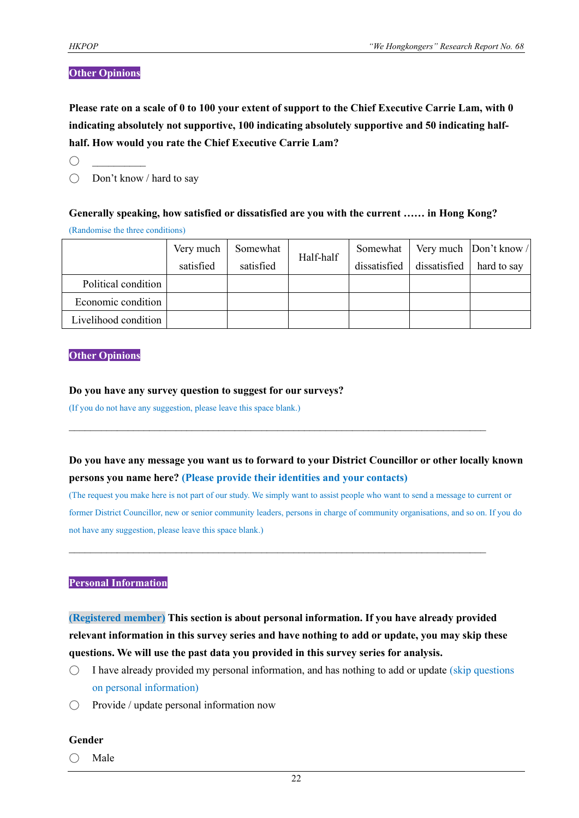#### **Other Opinions**

**Please rate on a scale of 0 to 100 your extent of support to the Chief Executive Carrie Lam, with 0 indicating absolutely not supportive, 100 indicating absolutely supportive and 50 indicating halfhalf. How would you rate the Chief Executive Carrie Lam?**

 $\bigcap$ 

○ Don't know / hard to say

# **Generally speaking, how satisfied or dissatisfied are you with the current …… in Hong Kong?**

(Randomise the three conditions)

|                      | Very much | Somewhat  | Half-half |              |              | Somewhat   Very much   Don't know / |
|----------------------|-----------|-----------|-----------|--------------|--------------|-------------------------------------|
|                      | satisfied | satisfied |           | dissatisfied | dissatisfied | hard to say                         |
| Political condition  |           |           |           |              |              |                                     |
| Economic condition   |           |           |           |              |              |                                     |
| Livelihood condition |           |           |           |              |              |                                     |

#### **Other Opinions**

#### **Do you have any survey question to suggest for our surveys?**

(If you do not have any suggestion, please leave this space blank.)

# **Do you have any message you want us to forward to your District Councillor or other locally known persons you name here? (Please provide their identities and your contacts)**

 $\mathcal{L}_\mathcal{L} = \{ \mathcal{L}_\mathcal{L} = \{ \mathcal{L}_\mathcal{L} = \{ \mathcal{L}_\mathcal{L} = \{ \mathcal{L}_\mathcal{L} = \{ \mathcal{L}_\mathcal{L} = \{ \mathcal{L}_\mathcal{L} = \{ \mathcal{L}_\mathcal{L} = \{ \mathcal{L}_\mathcal{L} = \{ \mathcal{L}_\mathcal{L} = \{ \mathcal{L}_\mathcal{L} = \{ \mathcal{L}_\mathcal{L} = \{ \mathcal{L}_\mathcal{L} = \{ \mathcal{L}_\mathcal{L} = \{ \mathcal{L}_\mathcal{$ 

 $\mathcal{L}_\mathcal{L} = \{ \mathcal{L}_\mathcal{L} = \{ \mathcal{L}_\mathcal{L} = \{ \mathcal{L}_\mathcal{L} = \{ \mathcal{L}_\mathcal{L} = \{ \mathcal{L}_\mathcal{L} = \{ \mathcal{L}_\mathcal{L} = \{ \mathcal{L}_\mathcal{L} = \{ \mathcal{L}_\mathcal{L} = \{ \mathcal{L}_\mathcal{L} = \{ \mathcal{L}_\mathcal{L} = \{ \mathcal{L}_\mathcal{L} = \{ \mathcal{L}_\mathcal{L} = \{ \mathcal{L}_\mathcal{L} = \{ \mathcal{L}_\mathcal{$ 

(The request you make here is not part of our study. We simply want to assist people who want to send a message to current or former District Councillor, new or senior community leaders, persons in charge of community organisations, and so on. If you do not have any suggestion, please leave this space blank.)

#### **Personal Information**

**(Registered member) This section is about personal information. If you have already provided relevant information in this survey series and have nothing to add or update, you may skip these questions. We will use the past data you provided in this survey series for analysis.**

- $\bigcirc$  I have already provided my personal information, and has nothing to add or update (skip questions on personal information)
- Provide / update personal information now

#### **Gender**

 $\bigcirc$  Male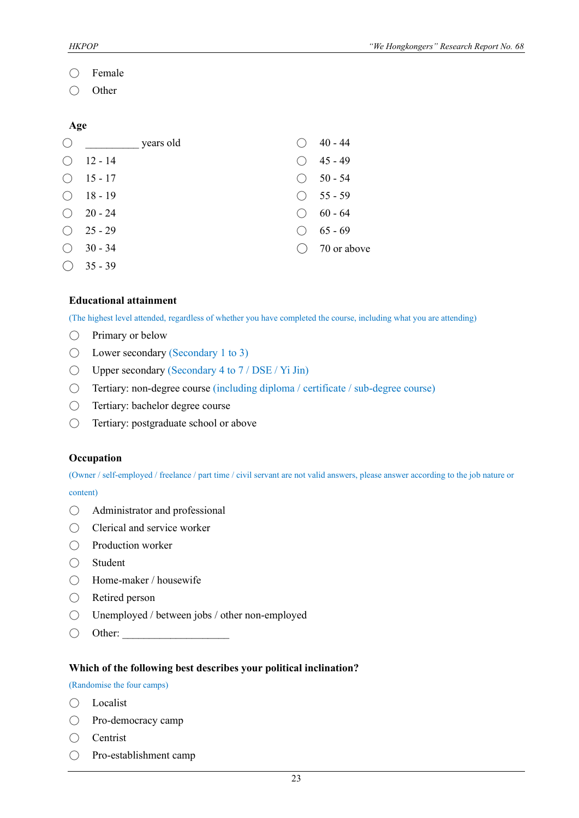- Female
- Other

#### **Age**

| ( )                                         | years old |     | 40 - 44            |
|---------------------------------------------|-----------|-----|--------------------|
| $($ )                                       | 12 - 14   |     | $45 - 49$          |
| ( )                                         | $15 - 17$ | ( ) | $50 - 54$          |
| $\bigcirc$                                  | $18 - 19$ |     | $\bigcirc$ 55 - 59 |
| ( )                                         | $20 - 24$ |     | $60 - 64$          |
| $\left(\begin{array}{c} \end{array}\right)$ | 25 - 29   |     | $65 - 69$          |
| ( )                                         | $30 - 34$ |     | 70 or above        |
|                                             | $35 - 39$ |     |                    |

#### **Educational attainment**

(The highest level attended, regardless of whether you have completed the course, including what you are attending)

- Primary or below
- Lower secondary (Secondary 1 to 3)
- $\bigcirc$  Upper secondary (Secondary 4 to 7 / DSE / Yi Jin)
- Tertiary: non-degree course (including diploma / certificate / sub-degree course)
- Tertiary: bachelor degree course
- Tertiary: postgraduate school or above

#### **Occupation**

(Owner / self-employed / freelance / part time / civil servant are not valid answers, please answer according to the job nature or

content)

- Administrator and professional
- Clerical and service worker
- Production worker
- Student
- Home-maker / housewife
- Retired person
- Unemployed / between jobs / other non-employed
- $\bigcirc$  Other:

#### **Which of the following best describes your political inclination?**

(Randomise the four camps)

- Localist
- Pro-democracy camp
- Centrist
- Pro-establishment camp